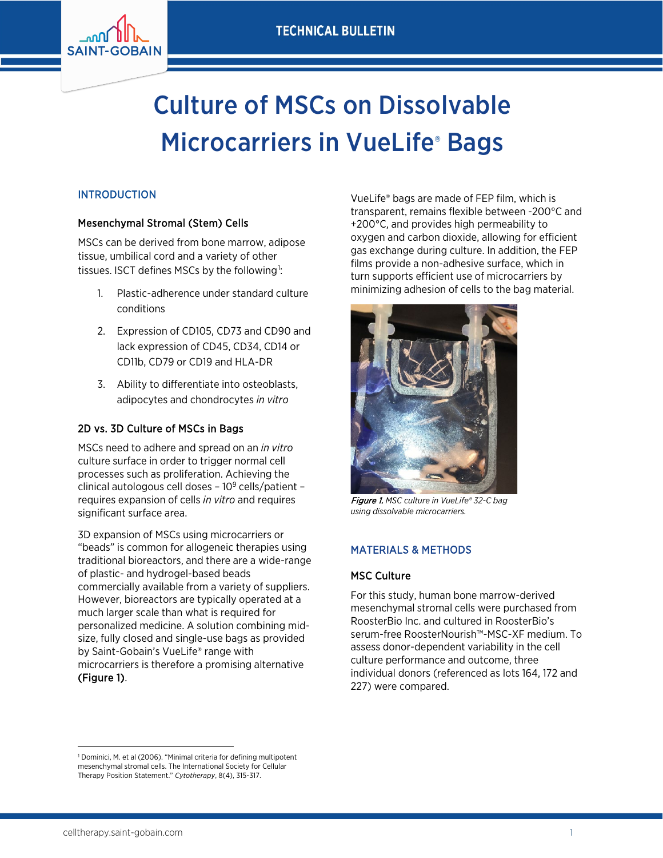

# Culture of MSCs on Dissolvable **Microcarriers in VueLife® Bags**

# INTRODUCTION

## Mesenchymal Stromal (Stem) Cells

MSCs can be derived from bone marrow, adipose tissue, umbilical cord and a variety of other tissues. ISCT defines MSCs by the following<sup>[1](#page-0-0)</sup>:

- 1. Plastic-adherence under standard culture conditions
- 2. Expression of CD105, CD73 and CD90 and lack expression of CD45, CD34, CD14 or CD11b, CD79 or CD19 and HLA-DR
- 3. Ability to differentiate into osteoblasts, adipocytes and chondrocytes *in vitro*

# 2D vs. 3D Culture of MSCs in Bags

MSCs need to adhere and spread on an *in vitro* culture surface in order to trigger normal cell processes such as proliferation. Achieving the clinical autologous cell doses – 109 cells/patient – requires expansion of cells *in vitro* and requires significant surface area.

3D expansion of MSCs using microcarriers or "beads" is common for allogeneic therapies using traditional bioreactors, and there are a wide-range of plastic- and hydrogel-based beads commercially available from a variety of suppliers. However, bioreactors are typically operated at a much larger scale than what is required for personalized medicine. A solution combining midsize, fully closed and single-use bags as provided by Saint-Gobain's VueLife® range with microcarriers is therefore a promising alternative (Figure 1).

VueLife® bags are made of FEP film, which is transparent, remains flexible between -200°C and +200°C, and provides high permeability to oxygen and carbon dioxide, allowing for efficient gas exchange during culture. In addition, the FEP films provide a non-adhesive surface, which in turn supports efficient use of microcarriers by minimizing adhesion of cells to the bag material.



Figure 1. *MSC culture in VueLife® 32-C bag using dissolvable microcarriers.*

# MATERIALS & METHODS

#### MSC Culture

For this study, human bone marrow-derived mesenchymal stromal cells were purchased from RoosterBio Inc. and cultured in RoosterBio's serum-free RoosterNourish™-MSC-XF medium. To assess donor-dependent variability in the cell culture performance and outcome, three individual donors (referenced as lots 164, 172 and 227) were compared.

 $\overline{\phantom{a}}$ 

<span id="page-0-0"></span><sup>&</sup>lt;sup>1</sup> Dominici, M. et al (2006). "Minimal criteria for defining multipotent mesenchymal stromal cells. The International Society for Cellular Therapy Position Statement." *Cytotherapy*, 8(4), 315-317.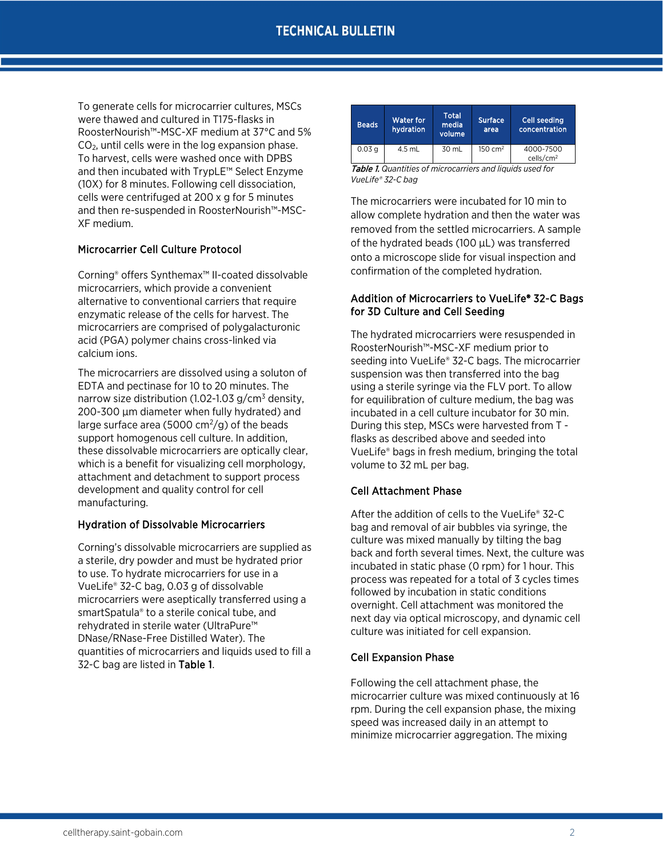To generate cells for microcarrier cultures, MSCs were thawed and cultured in T175-flasks in RoosterNourish™-MSC-XF medium at 37°C and 5%  $CO<sub>2</sub>$ , until cells were in the log expansion phase. To harvest, cells were washed once with DPBS and then incubated with TrypLE™ Select Enzyme (10X) for 8 minutes. Following cell dissociation, cells were centrifuged at 200 x g for 5 minutes and then re-suspended in RoosterNourish™-MSC-XF medium.

## Microcarrier Cell Culture Protocol

Corning® offers Synthemax™ II-coated dissolvable microcarriers, which provide a convenient alternative to conventional carriers that require enzymatic release of the cells for harvest. The microcarriers are comprised of polygalacturonic acid (PGA) polymer chains cross-linked via calcium ions.

The microcarriers are dissolved using a soluton of EDTA and pectinase for 10 to 20 minutes. The narrow size distribution (1.02-1.03  $g/cm^3$  density, 200-300 µm diameter when fully hydrated) and large surface area (5000  $\text{cm}^2/\text{g}$ ) of the beads support homogenous cell culture. In addition, these dissolvable microcarriers are optically clear, which is a benefit for visualizing cell morphology, attachment and detachment to support process development and quality control for cell manufacturing.

#### Hydration of Dissolvable Microcarriers

Corning's dissolvable microcarriers are supplied as a sterile, dry powder and must be hydrated prior to use. To hydrate microcarriers for use in a VueLife® 32-C bag, 0.03 g of dissolvable microcarriers were aseptically transferred using a smartSpatula® to a sterile conical tube, and rehydrated in sterile water (UltraPure™ DNase/RNase-Free Distilled Water). The quantities of microcarriers and liquids used to fill a 32-C bag are listed in Table 1.

| <b>Beads</b>      | Water for<br>hydration | <b>Total</b><br>media<br>volume | <b>Surface</b><br>area | Cell seeding<br>concentration      |
|-------------------|------------------------|---------------------------------|------------------------|------------------------------------|
| 0.03 <sub>q</sub> | 4.5 mL                 | 30 mL                           | $150 \text{ cm}^2$     | 4000-7500<br>cells/cm <sup>2</sup> |

Table 1. *Quantities of microcarriers and liquids used for VueLife® 32-C bag* 

The microcarriers were incubated for 10 min to allow complete hydration and then the water was removed from the settled microcarriers. A sample of the hydrated beads (100 µL) was transferred onto a microscope slide for visual inspection and confirmation of the completed hydration.

### Addition of Microcarriers to VueLife® 32-C Bags for 3D Culture and Cell Seeding

The hydrated microcarriers were resuspended in RoosterNourish™-MSC-XF medium prior to seeding into VueLife® 32-C bags. The microcarrier suspension was then transferred into the bag using a sterile syringe via the FLV port. To allow for equilibration of culture medium, the bag was incubated in a cell culture incubator for 30 min. During this step, MSCs were harvested from T flasks as described above and seeded into VueLife® bags in fresh medium, bringing the total volume to 32 mL per bag.

#### Cell Attachment Phase

After the addition of cells to the VueLife® 32-C bag and removal of air bubbles via syringe, the culture was mixed manually by tilting the bag back and forth several times. Next, the culture was incubated in static phase (0 rpm) for 1 hour. This process was repeated for a total of 3 cycles times followed by incubation in static conditions overnight. Cell attachment was monitored the next day via optical microscopy, and dynamic cell culture was initiated for cell expansion.

#### Cell Expansion Phase

Following the cell attachment phase, the microcarrier culture was mixed continuously at 16 rpm. During the cell expansion phase, the mixing speed was increased daily in an attempt to minimize microcarrier aggregation. The mixing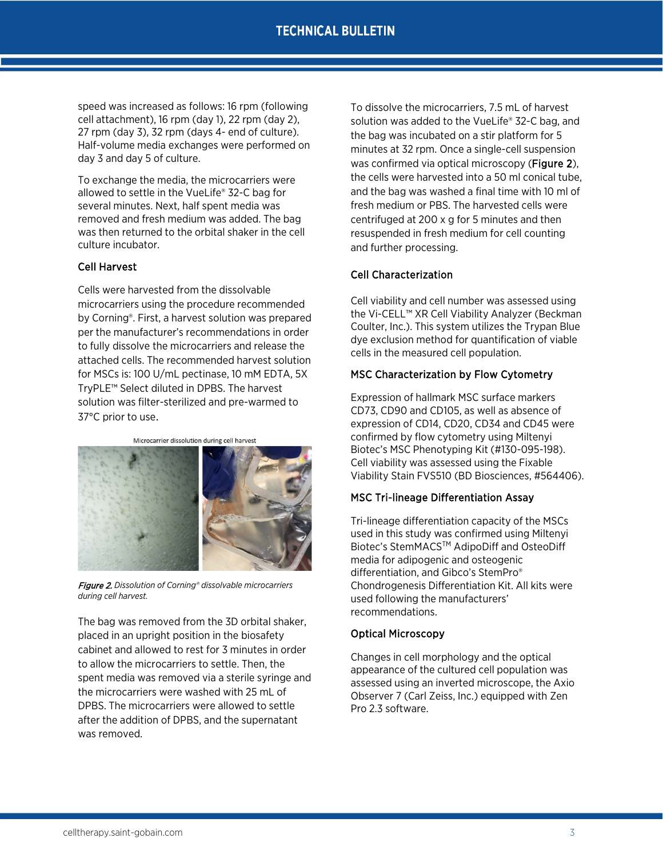speed was increased as follows: 16 rpm (following cell attachment), 16 rpm (day 1), 22 rpm (day 2), 27 rpm (day 3), 32 rpm (days 4- end of culture). Half-volume media exchanges were performed on day 3 and day 5 of culture.

To exchange the media, the microcarriers were allowed to settle in the VueLife® 32-C bag for several minutes. Next, half spent media was removed and fresh medium was added. The bag was then returned to the orbital shaker in the cell culture incubator.

#### Cell Harvest

Cells were harvested from the dissolvable microcarriers using the procedure recommended by Corning®. First, a harvest solution was prepared per the manufacturer's recommendations in order to fully dissolve the microcarriers and release the attached cells. The recommended harvest solution for MSCs is: 100 U/mL pectinase, 10 mM EDTA, 5X TryPLE™ Select diluted in DPBS. The harvest solution was filter-sterilized and pre-warmed to 37°C prior to use.

Microcarrier dissolution during cell harvest



Figure 2. *Dissolution of Corning® dissolvable microcarriers during cell harvest.* 

The bag was removed from the 3D orbital shaker, placed in an upright position in the biosafety cabinet and allowed to rest for 3 minutes in order to allow the microcarriers to settle. Then, the spent media was removed via a sterile syringe and the microcarriers were washed with 25 mL of DPBS. The microcarriers were allowed to settle after the addition of DPBS, and the supernatant was removed.

To dissolve the microcarriers, 7.5 mL of harvest solution was added to the VueLife® 32-C bag, and the bag was incubated on a stir platform for 5 minutes at 32 rpm. Once a single-cell suspension was confirmed via optical microscopy (Figure 2), the cells were harvested into a 50 ml conical tube, and the bag was washed a final time with 10 ml of fresh medium or PBS. The harvested cells were centrifuged at 200 x g for 5 minutes and then resuspended in fresh medium for cell counting and further processing.

## Cell Characterization

Cell viability and cell number was assessed using the Vi-CELL™ XR Cell Viability Analyzer (Beckman Coulter, Inc.). This system utilizes the Trypan Blue dye exclusion method for quantification of viable cells in the measured cell population.

#### MSC Characterization by Flow Cytometry

Expression of hallmark MSC surface markers CD73, CD90 and CD105, as well as absence of expression of CD14, CD20, CD34 and CD45 were confirmed by flow cytometry using Miltenyi Biotec's MSC Phenotyping Kit (#130-095-198). Cell viability was assessed using the Fixable Viability Stain FVS510 (BD Biosciences, #564406).

#### MSC Tri-lineage Differentiation Assay

Tri-lineage differentiation capacity of the MSCs used in this study was confirmed using Miltenyi Biotec's StemMACSTM AdipoDiff and OsteoDiff media for adipogenic and osteogenic differentiation, and Gibco's StemPro® Chondrogenesis Differentiation Kit. All kits were used following the manufacturers' recommendations.

#### Optical Microscopy

Changes in cell morphology and the optical appearance of the cultured cell population was assessed using an inverted microscope, the Axio Observer 7 (Carl Zeiss, Inc.) equipped with Zen Pro 2.3 software.